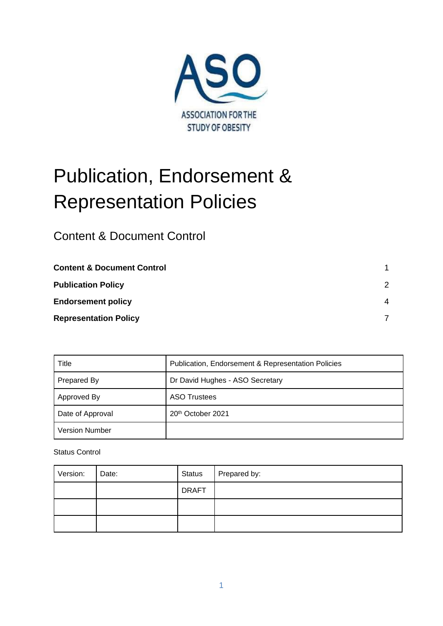

# Publication, Endorsement & Representation Policies

<span id="page-0-0"></span>Content & Document Control

| <b>Content &amp; Document Control</b> |               |
|---------------------------------------|---------------|
| <b>Publication Policy</b>             | $\mathcal{P}$ |
| <b>Endorsement policy</b>             | 4             |
| <b>Representation Policy</b>          |               |

| Title                 | <b>Publication, Endorsement &amp; Representation Policies</b> |  |  |
|-----------------------|---------------------------------------------------------------|--|--|
| Prepared By           | Dr David Hughes - ASO Secretary                               |  |  |
| Approved By           | <b>ASO Trustees</b>                                           |  |  |
| Date of Approval      | 20th October 2021                                             |  |  |
| <b>Version Number</b> |                                                               |  |  |

Status Control

| Version: | Date: | <b>Status</b> | Prepared by: |
|----------|-------|---------------|--------------|
|          |       | <b>DRAFT</b>  |              |
|          |       |               |              |
|          |       |               |              |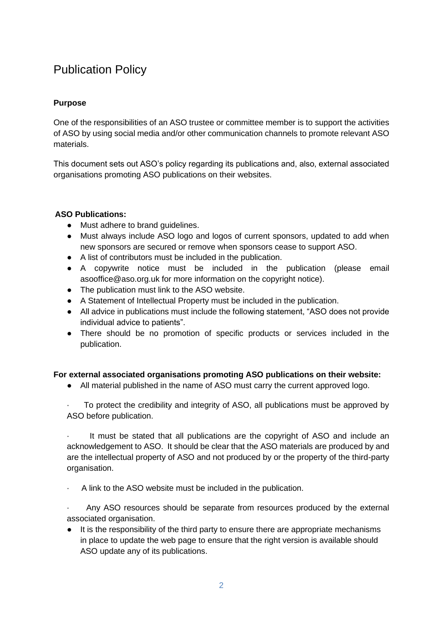# <span id="page-1-0"></span>Publication Policy

# **Purpose**

One of the responsibilities of an ASO trustee or committee member is to support the activities of ASO by using social media and/or other communication channels to promote relevant ASO materials.

This document sets out ASO's policy regarding its publications and, also, external associated organisations promoting ASO publications on their websites.

# **ASO Publications:**

- Must adhere to brand guidelines.
- Must always include ASO logo and logos of current sponsors, updated to add when new sponsors are secured or remove when sponsors cease to support ASO.
- A list of contributors must be included in the publication.
- A copywrite notice must be included in the publication (please email asooffice@aso.org.uk for more information on the copyright notice).
- The publication must link to the ASO website.
- A Statement of Intellectual Property must be included in the publication.
- All advice in publications must include the following statement, "ASO does not provide individual advice to patients".
- There should be no promotion of specific products or services included in the publication.

# **For external associated organisations promoting ASO publications on their website:**

● All material published in the name of ASO must carry the current approved logo.

· To protect the credibility and integrity of ASO, all publications must be approved by ASO before publication.

· It must be stated that all publications are the copyright of ASO and include an acknowledgement to ASO. It should be clear that the ASO materials are produced by and are the intellectual property of ASO and not produced by or the property of the third-party organisation.

A link to the ASO website must be included in the publication.

Any ASO resources should be separate from resources produced by the external associated organisation.

● It is the responsibility of the third party to ensure there are appropriate mechanisms in place to update the web page to ensure that the right version is available should ASO update any of its publications.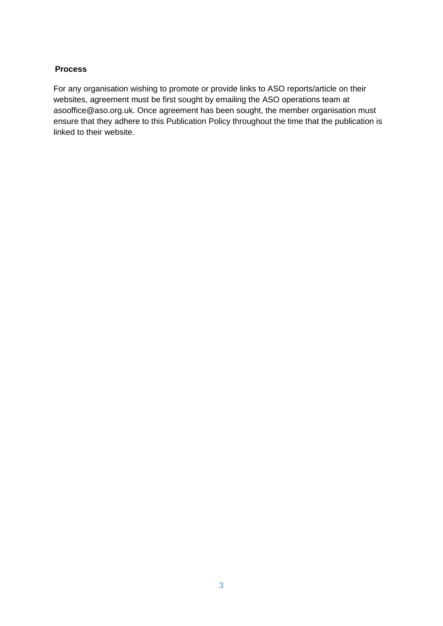#### **Process**

For any organisation wishing to promote or provide links to ASO reports/article on their websites, agreement must be first sought by emailing the ASO operations team at asooffice@aso.org.uk. Once agreement has been sought, the member organisation must ensure that they adhere to this Publication Policy throughout the time that the publication is linked to their website.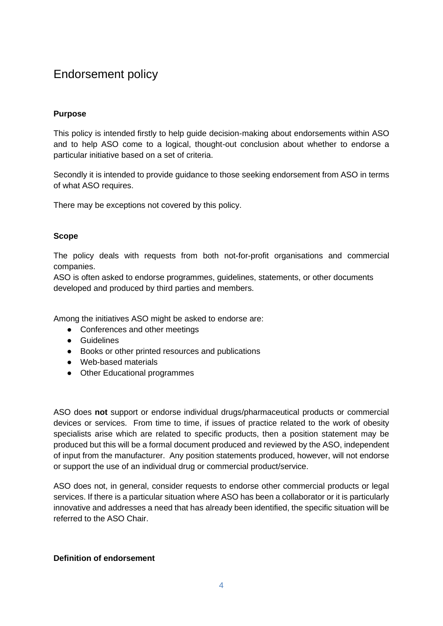# <span id="page-3-0"></span>Endorsement policy

# **Purpose**

This policy is intended firstly to help guide decision-making about endorsements within ASO and to help ASO come to a logical, thought-out conclusion about whether to endorse a particular initiative based on a set of criteria.

Secondly it is intended to provide guidance to those seeking endorsement from ASO in terms of what ASO requires.

There may be exceptions not covered by this policy.

# **Scope**

The policy deals with requests from both not-for-profit organisations and commercial companies.

ASO is often asked to endorse programmes, guidelines, statements, or other documents developed and produced by third parties and members.

Among the initiatives ASO might be asked to endorse are:

- Conferences and other meetings
- Guidelines
- Books or other printed resources and publications
- Web-based materials
- Other Educational programmes

ASO does **not** support or endorse individual drugs/pharmaceutical products or commercial devices or services. From time to time, if issues of practice related to the work of obesity specialists arise which are related to specific products, then a position statement may be produced but this will be a formal document produced and reviewed by the ASO, independent of input from the manufacturer. Any position statements produced, however, will not endorse or support the use of an individual drug or commercial product/service.

ASO does not, in general, consider requests to endorse other commercial products or legal services. If there is a particular situation where ASO has been a collaborator or it is particularly innovative and addresses a need that has already been identified, the specific situation will be referred to the ASO Chair.

#### **Definition of endorsement**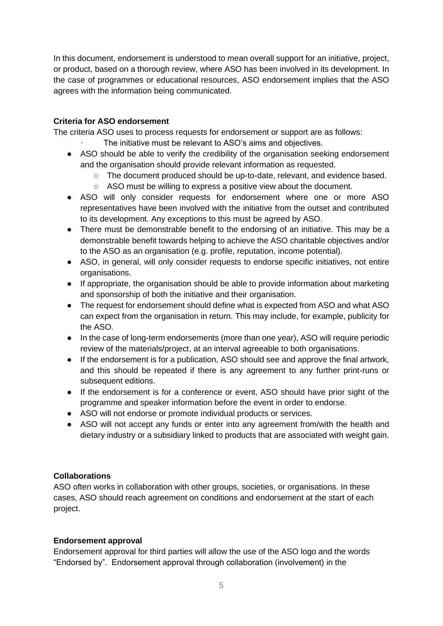In this document, endorsement is understood to mean overall support for an initiative, project, or product, based on a thorough review, where ASO has been involved in its development. In the case of programmes or educational resources, ASO endorsement implies that the ASO agrees with the information being communicated.

# **Criteria for ASO endorsement**

The criteria ASO uses to process requests for endorsement or support are as follows:

- The initiative must be relevant to ASO's aims and objectives.
- ASO should be able to verify the credibility of the organisation seeking endorsement and the organisation should provide relevant information as requested.
	- The document produced should be up-to-date, relevant, and evidence based.
	- ASO must be willing to express a positive view about the document.
- ASO will only consider requests for endorsement where one or more ASO representatives have been involved with the initiative from the outset and contributed to its development. Any exceptions to this must be agreed by ASO.
- There must be demonstrable benefit to the endorsing of an initiative. This may be a demonstrable benefit towards helping to achieve the ASO charitable objectives and/or to the ASO as an organisation (e.g. profile, reputation, income potential).
- ASO, in general, will only consider requests to endorse specific initiatives, not entire organisations.
- If appropriate, the organisation should be able to provide information about marketing and sponsorship of both the initiative and their organisation.
- The request for endorsement should define what is expected from ASO and what ASO can expect from the organisation in return. This may include, for example, publicity for the ASO.
- In the case of long-term endorsements (more than one year), ASO will require periodic review of the materials/project, at an interval agreeable to both organisations.
- If the endorsement is for a publication, ASO should see and approve the final artwork, and this should be repeated if there is any agreement to any further print-runs or subsequent editions.
- If the endorsement is for a conference or event, ASO should have prior sight of the programme and speaker information before the event in order to endorse.
- ASO will not endorse or promote individual products or services.
- ASO will not accept any funds or enter into any agreement from/with the health and dietary industry or a subsidiary linked to products that are associated with weight gain.

# **Collaborations**

ASO often works in collaboration with other groups, societies, or organisations. In these cases, ASO should reach agreement on conditions and endorsement at the start of each project.

#### **Endorsement approval**

Endorsement approval for third parties will allow the use of the ASO logo and the words "Endorsed by". Endorsement approval through collaboration (involvement) in the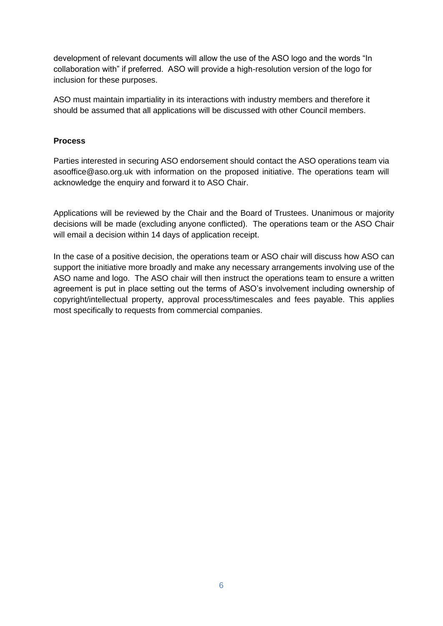development of relevant documents will allow the use of the ASO logo and the words "In collaboration with" if preferred. ASO will provide a high-resolution version of the logo for inclusion for these purposes.

ASO must maintain impartiality in its interactions with industry members and therefore it should be assumed that all applications will be discussed with other Council members.

#### **Process**

Parties interested in securing ASO endorsement should contact the ASO operations team via asooffice@aso.org.uk with information on the proposed initiative. The operations team will acknowledge the enquiry and forward it to ASO Chair.

Applications will be reviewed by the Chair and the Board of Trustees. Unanimous or majority decisions will be made (excluding anyone conflicted). The operations team or the ASO Chair will email a decision within 14 days of application receipt.

In the case of a positive decision, the operations team or ASO chair will discuss how ASO can support the initiative more broadly and make any necessary arrangements involving use of the ASO name and logo. The ASO chair will then instruct the operations team to ensure a written agreement is put in place setting out the terms of ASO's involvement including ownership of copyright/intellectual property, approval process/timescales and fees payable. This applies most specifically to requests from commercial companies.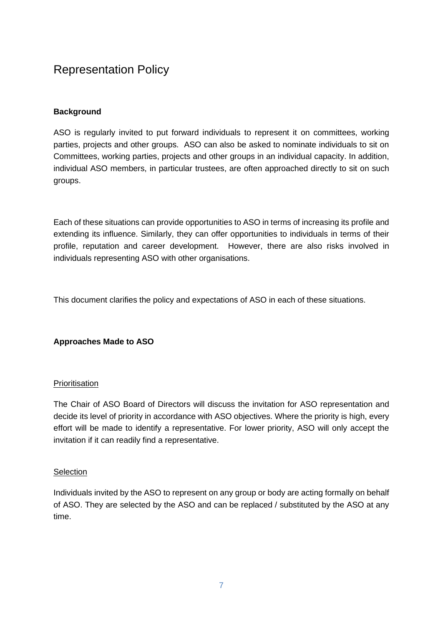# <span id="page-6-0"></span>Representation Policy

# **Background**

ASO is regularly invited to put forward individuals to represent it on committees, working parties, projects and other groups. ASO can also be asked to nominate individuals to sit on Committees, working parties, projects and other groups in an individual capacity. In addition, individual ASO members, in particular trustees, are often approached directly to sit on such groups.

Each of these situations can provide opportunities to ASO in terms of increasing its profile and extending its influence. Similarly, they can offer opportunities to individuals in terms of their profile, reputation and career development. However, there are also risks involved in individuals representing ASO with other organisations.

This document clarifies the policy and expectations of ASO in each of these situations.

# **Approaches Made to ASO**

# **Prioritisation**

The Chair of ASO Board of Directors will discuss the invitation for ASO representation and decide its level of priority in accordance with ASO objectives. Where the priority is high, every effort will be made to identify a representative. For lower priority, ASO will only accept the invitation if it can readily find a representative.

#### **Selection**

Individuals invited by the ASO to represent on any group or body are acting formally on behalf of ASO. They are selected by the ASO and can be replaced / substituted by the ASO at any time.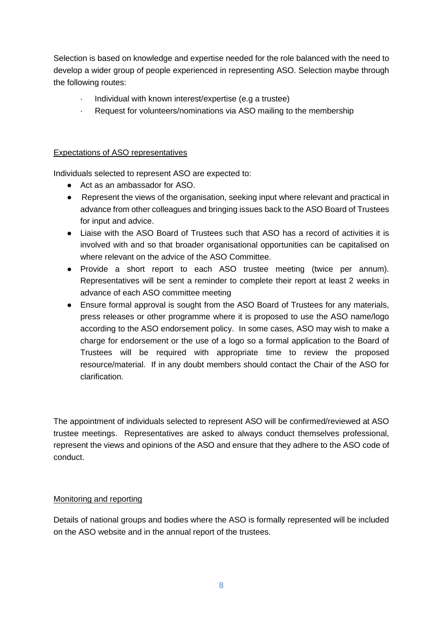Selection is based on knowledge and expertise needed for the role balanced with the need to develop a wider group of people experienced in representing ASO. Selection maybe through the following routes:

- Individual with known interest/expertise (e.g a trustee)
- Request for volunteers/nominations via ASO mailing to the membership

# Expectations of ASO representatives

Individuals selected to represent ASO are expected to:

- Act as an ambassador for ASO.
- Represent the views of the organisation, seeking input where relevant and practical in advance from other colleagues and bringing issues back to the ASO Board of Trustees for input and advice.
- Liaise with the ASO Board of Trustees such that ASO has a record of activities it is involved with and so that broader organisational opportunities can be capitalised on where relevant on the advice of the ASO Committee.
- Provide a short report to each ASO trustee meeting (twice per annum). Representatives will be sent a reminder to complete their report at least 2 weeks in advance of each ASO committee meeting
- Ensure formal approval is sought from the ASO Board of Trustees for any materials, press releases or other programme where it is proposed to use the ASO name/logo according to the ASO endorsement policy. In some cases, ASO may wish to make a charge for endorsement or the use of a logo so a formal application to the Board of Trustees will be required with appropriate time to review the proposed resource/material. If in any doubt members should contact the Chair of the ASO for clarification.

The appointment of individuals selected to represent ASO will be confirmed/reviewed at ASO trustee meetings. Representatives are asked to always conduct themselves professional, represent the views and opinions of the ASO and ensure that they adhere to the ASO code of conduct.

#### Monitoring and reporting

Details of national groups and bodies where the ASO is formally represented will be included on the ASO website and in the annual report of the trustees.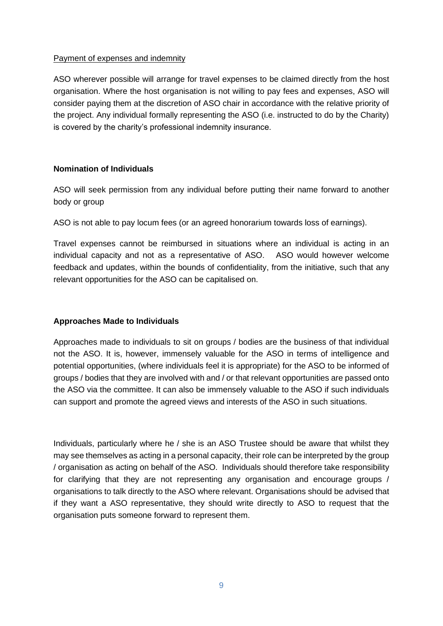#### Payment of expenses and indemnity

ASO wherever possible will arrange for travel expenses to be claimed directly from the host organisation. Where the host organisation is not willing to pay fees and expenses, ASO will consider paying them at the discretion of ASO chair in accordance with the relative priority of the project. Any individual formally representing the ASO (i.e. instructed to do by the Charity) is covered by the charity's professional indemnity insurance.

# **Nomination of Individuals**

ASO will seek permission from any individual before putting their name forward to another body or group

ASO is not able to pay locum fees (or an agreed honorarium towards loss of earnings).

Travel expenses cannot be reimbursed in situations where an individual is acting in an individual capacity and not as a representative of ASO. ASO would however welcome feedback and updates, within the bounds of confidentiality, from the initiative, such that any relevant opportunities for the ASO can be capitalised on.

# **Approaches Made to Individuals**

Approaches made to individuals to sit on groups / bodies are the business of that individual not the ASO. It is, however, immensely valuable for the ASO in terms of intelligence and potential opportunities, (where individuals feel it is appropriate) for the ASO to be informed of groups / bodies that they are involved with and / or that relevant opportunities are passed onto the ASO via the committee. It can also be immensely valuable to the ASO if such individuals can support and promote the agreed views and interests of the ASO in such situations.

Individuals, particularly where he / she is an ASO Trustee should be aware that whilst they may see themselves as acting in a personal capacity, their role can be interpreted by the group / organisation as acting on behalf of the ASO. Individuals should therefore take responsibility for clarifying that they are not representing any organisation and encourage groups / organisations to talk directly to the ASO where relevant. Organisations should be advised that if they want a ASO representative, they should write directly to ASO to request that the organisation puts someone forward to represent them.